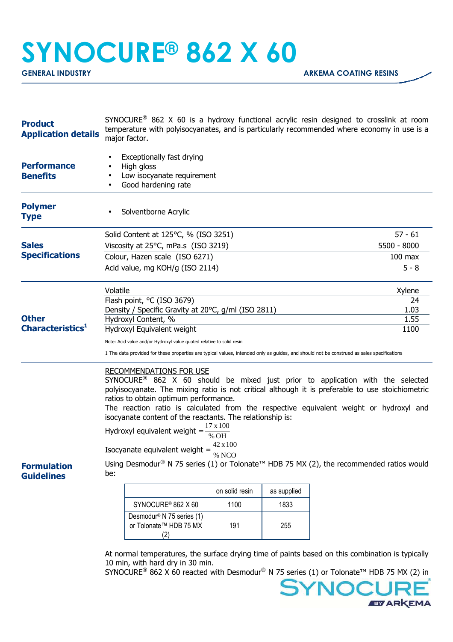## **SYNOCURE® 862 X 60**

| <b>Product</b><br><b>Application details</b> | SYNOCURE <sup>®</sup> 862 X 60 is a hydroxy functional acrylic resin designed to crosslink at room<br>temperature with polyisocyanates, and is particularly recommended where economy in use is a<br>major factor.                                                                                                                                                                                                                                                                                                                                                                                                                             |                                                                            |                |             |           |  |
|----------------------------------------------|------------------------------------------------------------------------------------------------------------------------------------------------------------------------------------------------------------------------------------------------------------------------------------------------------------------------------------------------------------------------------------------------------------------------------------------------------------------------------------------------------------------------------------------------------------------------------------------------------------------------------------------------|----------------------------------------------------------------------------|----------------|-------------|-----------|--|
| <b>Performance</b><br><b>Benefits</b>        | Exceptionally fast drying<br>High gloss<br>Low isocyanate requirement<br>Good hardening rate                                                                                                                                                                                                                                                                                                                                                                                                                                                                                                                                                   |                                                                            |                |             |           |  |
| <b>Polymer</b><br><b>Type</b>                |                                                                                                                                                                                                                                                                                                                                                                                                                                                                                                                                                                                                                                                | Solventborne Acrylic                                                       |                |             |           |  |
|                                              |                                                                                                                                                                                                                                                                                                                                                                                                                                                                                                                                                                                                                                                | Solid Content at 125°C, % (ISO 3251)                                       |                |             | $57 - 61$ |  |
| <b>Sales</b>                                 |                                                                                                                                                                                                                                                                                                                                                                                                                                                                                                                                                                                                                                                | Viscosity at 25°C, mPa.s (ISO 3219)                                        | 5500 - 8000    |             |           |  |
| <b>Specifications</b>                        |                                                                                                                                                                                                                                                                                                                                                                                                                                                                                                                                                                                                                                                | Colour, Hazen scale (ISO 6271)                                             | $100$ max      |             |           |  |
|                                              | Acid value, mg KOH/g (ISO 2114)                                                                                                                                                                                                                                                                                                                                                                                                                                                                                                                                                                                                                | $5 - 8$                                                                    |                |             |           |  |
|                                              | Volatile                                                                                                                                                                                                                                                                                                                                                                                                                                                                                                                                                                                                                                       |                                                                            | Xylene         |             |           |  |
|                                              |                                                                                                                                                                                                                                                                                                                                                                                                                                                                                                                                                                                                                                                | Flash point, °C (ISO 3679)                                                 | 24             |             |           |  |
| <b>Other</b>                                 |                                                                                                                                                                                                                                                                                                                                                                                                                                                                                                                                                                                                                                                | Density / Specific Gravity at 20°C, g/ml (ISO 2811)<br>Hydroxyl Content, % | 1.03<br>1.55   |             |           |  |
| Characteristics <sup>1</sup>                 | Hydroxyl Equivalent weight                                                                                                                                                                                                                                                                                                                                                                                                                                                                                                                                                                                                                     | 1100                                                                       |                |             |           |  |
|                                              | Note: Acid value and/or Hydroxyl value quoted relative to solid resin                                                                                                                                                                                                                                                                                                                                                                                                                                                                                                                                                                          |                                                                            |                |             |           |  |
|                                              | 1 The data provided for these properties are typical values, intended only as guides, and should not be construed as sales specifications                                                                                                                                                                                                                                                                                                                                                                                                                                                                                                      |                                                                            |                |             |           |  |
| <b>Formulation</b>                           | <b>RECOMMENDATIONS FOR USE</b><br>SYNOCURE <sup>®</sup> 862 X 60 should be mixed just prior to application with the selected<br>polyisocyanate. The mixing ratio is not critical although it is preferable to use stoichiometric<br>ratios to obtain optimum performance.<br>The reaction ratio is calculated from the respective equivalent weight or hydroxyl and<br>isocyanate content of the reactants. The relationship is:<br>$17 \times 100$<br>Hydroxyl equivalent weight =<br>% OH<br>42 x 100<br>Isocyanate equivalent weight =<br>% NCO<br>Using Desmodur® N 75 series (1) or Tolonate™ HDB 75 MX (2), the recommended ratios would |                                                                            |                |             |           |  |
| <b>Guidelines</b>                            | be:                                                                                                                                                                                                                                                                                                                                                                                                                                                                                                                                                                                                                                            |                                                                            |                |             |           |  |
|                                              |                                                                                                                                                                                                                                                                                                                                                                                                                                                                                                                                                                                                                                                |                                                                            | on solid resin | as supplied |           |  |
|                                              |                                                                                                                                                                                                                                                                                                                                                                                                                                                                                                                                                                                                                                                | SYNOCURE <sup>®</sup> 862 X 60                                             | 1100           | 1833        |           |  |
|                                              |                                                                                                                                                                                                                                                                                                                                                                                                                                                                                                                                                                                                                                                | Desmodur <sup>®</sup> N 75 series (1)<br>or Tolonate™ HDB 75 MX<br>(2)     | 191            | 255         |           |  |
|                                              | At normal temperatures, the surface drying time of paints based on this combination is typically<br>10 min, with hard dry in 30 min.<br>SYNOCURE <sup>®</sup> 862 X 60 reacted with Desmodur <sup>®</sup> N 75 series (1) or Tolonate <sup>™</sup> HDB 75 MX (2) in                                                                                                                                                                                                                                                                                                                                                                            |                                                                            |                |             |           |  |